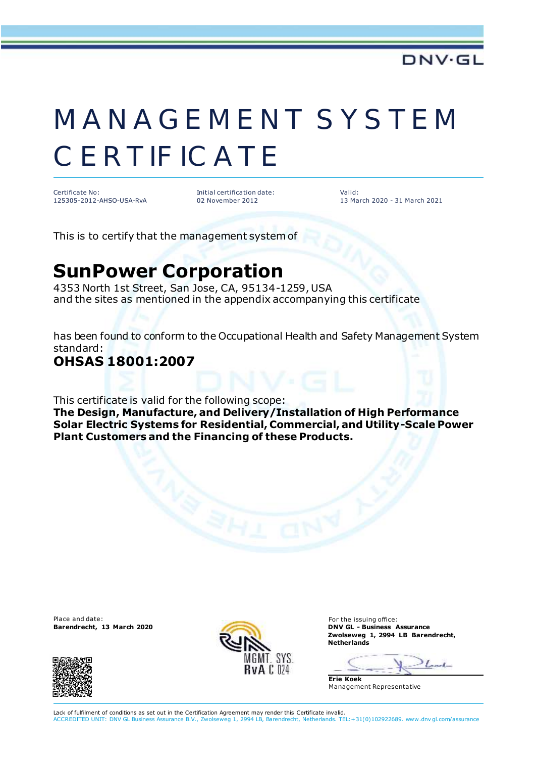# MANAGEMENT SYSTEM **CERTIFICATE**

Certificate No: 125305-2012-AHSO-USA-RvA Initial certification date: 02 November 2012

Valid: 13 March 2020 - 31 March 2021

This is to certify that the management system of

## **SunPower Corporation**

4353 North 1st Street, San Jose, CA, 95134-1259, USA and the sites as mentioned in the appendix accompanying this certificate

has been found to conform to the Occupational Health and Safety Management System standard:

### **OHSAS 18001:2007**

This certificate is valid for the following scope:

**The Design, Manufacture, and Delivery/Installation of High Performance Solar Electric Systems for Residential, Commercial, and Utility-Scale Power Plant Customers and the Financing of these Products.**

Place and date: For the issuing office:<br> **Barendrecht, 13 March 2020 Exercísion COVIDATE: For the issuing office:** 





**Barendrecht, 13 March 2020 DNV GL - Business Assurance Zwolseweg 1, 2994 LB Barendrecht, Netherlands**

**Erie Koek** Management Representative

Lack of fulfilment of conditions as set out in the Certification Agreement may render this Certificate invalid. ACCREDITED UNIT: DNV GL Business Assurance B.V., Zwolseweg 1, 2994 LB, Barendrecht, Netherlands. TEL:+31(0)102922689. www.dnv gl.com/assurance